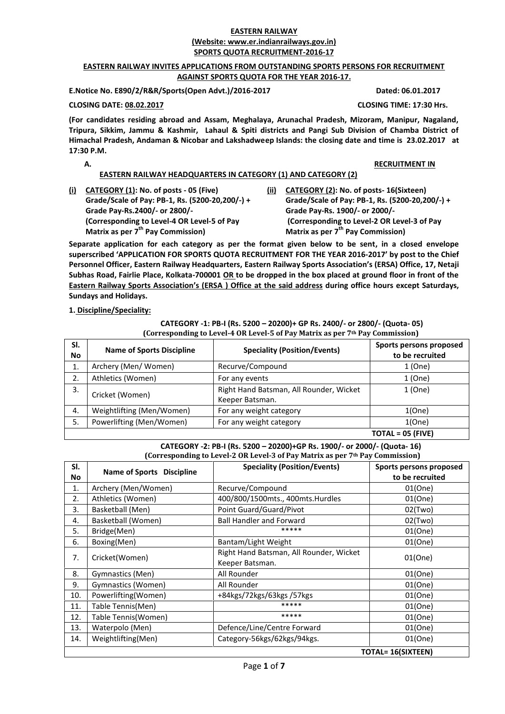#### **EASTERN RAILWAY (Website: www.er.indianrailways.gov.in) SPORTS QUOTA RECRUITMENT-2016-17**

#### **EASTERN RAILWAY INVITES APPLICATIONS FROM OUTSTANDING SPORTS PERSONS FOR RECRUITMENT AGAINST SPORTS QUOTA FOR THE YEAR 2016-17.**

**E.Notice No. E890/2/R&R/Sports(Open Advt.)/2016-2017 Dated: 06.01.2017**

**CLOSING DATE: 08.02.2017 CLOSING TIME: 17:30 Hrs.**

**(For candidates residing abroad and Assam, Meghalaya, Arunachal Pradesh, Mizoram, Manipur, Nagaland, Tripura, Sikkim, Jammu & Kashmir, Lahaul & Spiti districts and Pangi Sub Division of Chamba District of Himachal Pradesh, Andaman & Nicobar and Lakshadweep Islands: the closing date and time is 23.02.2017 at 17:30 P.M.**

**A. RECRUITMENT IN**

# **EASTERN RAILWAY HEADQUARTERS IN CATEGORY (1) AND CATEGORY (2)**

- **(i) CATEGORY (1): No. of posts 05 (Five) Grade/Scale of Pay: PB-1, Rs. (5200-20,200/-) + Grade Pay-Rs.2400/- or 2800/- (Corresponding to Level-4 OR Level-5 of Pay Matrix as per 7th Pay Commission)**
- **(ii) CATEGORY (2): No. of posts- 16(Sixteen) Grade/Scale of Pay: PB-1, Rs. (5200-20,200/-) + Grade Pay-Rs. 1900/- or 2000/- (Corresponding to Level-2 OR Level-3 of Pay Matrix as per 7th Pay Commission)**

**Separate application for each category as per the format given below to be sent, in a closed envelope superscribed 'APPLICATION FOR SPORTS QUOTA RECRUITMENT FOR THE YEAR 2016-2017' by post to the Chief Personnel Officer, Eastern Railway Headquarters, Eastern Railway Sports Association's (ERSA) Office, 17, Netaji Subhas Road, Fairlie Place, Kolkata-700001 OR to be dropped in the box placed at ground floor in front of the Eastern Railway Sports Association's (ERSA ) Office at the said address during office hours except Saturdays, Sundays and Holidays.**

# **1. Discipline/Speciality:**

| SI.<br><b>Speciality (Position/Events)</b><br><b>Name of Sports Discipline</b><br>No |                           | Sports persons proposed<br>to be recruited                 |                     |
|--------------------------------------------------------------------------------------|---------------------------|------------------------------------------------------------|---------------------|
| 1.                                                                                   | Archery (Men/Women)       | Recurve/Compound                                           | 1 (One)             |
| 2.                                                                                   | Athletics (Women)         | For any events                                             | 1 (One)             |
| 3.                                                                                   | Cricket (Women)           | Right Hand Batsman, All Rounder, Wicket<br>Keeper Batsman. | 1(One)              |
| 4.                                                                                   | Weightlifting (Men/Women) | For any weight category                                    | 1(One)              |
| 5.                                                                                   | Powerlifting (Men/Women)  | For any weight category                                    | 1(One)              |
|                                                                                      |                           |                                                            | $TOTAL = 05$ (FIVE) |

# **CATEGORY -1: PB-I (Rs. 5200 – 20200)+ GP Rs. 2400/- or 2800/- (Quota- 05)**

**CATEGORY -2: PB-I (Rs. 5200 – 20200)+GP Rs. 1900/- or 2000/- (Quota- 16) (Corresponding to Level-2 OR Level-3 of Pay Matrix as per 7th Pay Commission)**

| SI.<br>No | <b>Name of Sports Discipline</b> | <b>Speciality (Position/Events)</b>                        | Sports persons proposed<br>to be recruited |
|-----------|----------------------------------|------------------------------------------------------------|--------------------------------------------|
| 1.        | Archery (Men/Women)              | Recurve/Compound                                           | 01(One)                                    |
| 2.        | Athletics (Women)                | 400/800/1500mts., 400mts.Hurdles                           | 01(One)                                    |
| 3.        | Basketball (Men)                 | Point Guard/Guard/Pivot                                    | $02$ (Two)                                 |
| 4.        | Basketball (Women)               | <b>Ball Handler and Forward</b>                            | $02$ (Two)                                 |
| 5.        | Bridge(Men)                      | *****                                                      | 01(One)                                    |
| 6.        | Boxing(Men)                      | Bantam/Light Weight                                        | 01(One)                                    |
| 7.        | Cricket(Women)                   | Right Hand Batsman, All Rounder, Wicket<br>Keeper Batsman. | 01(One)                                    |
| 8.        | Gymnastics (Men)                 | All Rounder                                                | 01(One)                                    |
| 9.        | Gymnastics (Women)               | All Rounder                                                | 01(One)                                    |
| 10.       | Powerlifting(Women)              | +84kgs/72kgs/63kgs/57kgs                                   | 01(One)                                    |
| 11.       | Table Tennis(Men)                | *****                                                      | 01(One)                                    |
| 12.       | Table Tennis(Women)              | *****                                                      | 01(One)                                    |
| 13.       | Waterpolo (Men)                  | Defence/Line/Centre Forward                                | 01(One)                                    |
| 14.       | Weightlifting(Men)               | Category-56kgs/62kgs/94kgs.                                | 01(One)                                    |
|           |                                  |                                                            | <b>TOTAL= 16(SIXTEEN)</b>                  |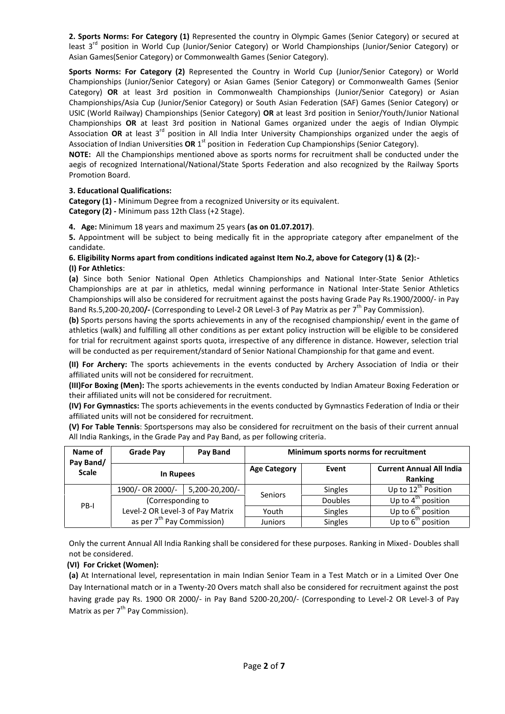**2. Sports Norms: For Category (1)** Represented the country in Olympic Games (Senior Category) or secured at least 3<sup>rd</sup> position in World Cup (Junior/Senior Category) or World Championships (Junior/Senior Category) or Asian Games(Senior Category) or Commonwealth Games (Senior Category).

**Sports Norms: For Category (2)** Represented the Country in World Cup (Junior/Senior Category) or World Championships (Junior/Senior Category) or Asian Games (Senior Category) or Commonwealth Games (Senior Category) **OR** at least 3rd position in Commonwealth Championships (Junior/Senior Category) or Asian Championships/Asia Cup (Junior/Senior Category) or South Asian Federation (SAF) Games (Senior Category) or USIC (World Railway) Championships (Senior Category) **OR** at least 3rd position in Senior/Youth/Junior National Championships **OR** at least 3rd position in National Games organized under the aegis of Indian Olympic Association **OR** at least 3rd position in All India Inter University Championships organized under the aegis of Association of Indian Universities OR 1<sup>st</sup> position in Federation Cup Championships (Senior Category).

**NOTE:** All the Championships mentioned above as sports norms for recruitment shall be conducted under the aegis of recognized International/National/State Sports Federation and also recognized by the Railway Sports Promotion Board.

# **3. Educational Qualifications:**

**Category (1) -** Minimum Degree from a recognized University or its equivalent.

**Category (2) -** Minimum pass 12th Class (+2 Stage).

**4. Age:** Minimum 18 years and maximum 25 years **(as on 01.07.2017)**.

**5.** Appointment will be subject to being medically fit in the appropriate category after empanelment of the candidate.

#### **6. Eligibility Norms apart from conditions indicated against Item No.2, above for Category (1) & (2):- (I) For Athletics**:

**(a)** Since both Senior National Open Athletics Championships and National Inter-State Senior Athletics Championships are at par in athletics, medal winning performance in National Inter-State Senior Athletics Championships will also be considered for recruitment against the posts having Grade Pay Rs.1900/2000/- in Pay Band Rs.5,200-20,200**/-** (Corresponding to Level-2 OR Level-3 of Pay Matrix as per 7th Pay Commission).

**(b)** Sports persons having the sports achievements in any of the recognised championship/ event in the game of athletics (walk) and fulfilling all other conditions as per extant policy instruction will be eligible to be considered for trial for recruitment against sports quota, irrespective of any difference in distance. However, selection trial will be conducted as per requirement/standard of Senior National Championship for that game and event.

**(II) For Archery:** The sports achievements in the events conducted by Archery Association of India or their affiliated units will not be considered for recruitment.

**(III)For Boxing (Men):** The sports achievements in the events conducted by Indian Amateur Boxing Federation or their affiliated units will not be considered for recruitment.

**(IV) For Gymnastics:** The sports achievements in the events conducted by Gymnastics Federation of India or their affiliated units will not be considered for recruitment.

**(V) For Table Tennis**: Sportspersons may also be considered for recruitment on the basis of their current annual All India Rankings, in the Grade Pay and Pay Band, as per following criteria.

| Name of                   | <b>Grade Pay</b>                       | Pay Band                         | Minimum sports norms for recruitment |                |                                            |  |
|---------------------------|----------------------------------------|----------------------------------|--------------------------------------|----------------|--------------------------------------------|--|
| Pay Band/<br><b>Scale</b> | In Rupees                              |                                  | <b>Age Category</b>                  | Event          | <b>Current Annual All India</b><br>Ranking |  |
|                           | 1900/- OR 2000/-                       | 5,200-20,200/-                   | Seniors                              | <b>Singles</b> | Up to $12^{th}$ Position                   |  |
| PB-I                      | (Corresponding to                      |                                  |                                      | <b>Doubles</b> | Up to $4^{\text{th}}$ position             |  |
|                           |                                        | Level-2 OR Level-3 of Pay Matrix |                                      | Singles        | Up to $6th$ position                       |  |
|                           | as per 7 <sup>th</sup> Pay Commission) |                                  | <b>Juniors</b>                       | Singles        | Up to $6^{th}$<br>position                 |  |

Only the current Annual All India Ranking shall be considered for these purposes. Ranking in Mixed- Doubles shall not be considered.

# **(VI) For Cricket (Women):**

**(a)** At International level, representation in main Indian Senior Team in a Test Match or in a Limited Over One Day International match or in a Twenty-20 Overs match shall also be considered for recruitment against the post having grade pay Rs. 1900 OR 2000/- in Pay Band 5200-20,200/- (Corresponding to Level-2 OR Level-3 of Pay Matrix as per  $7<sup>th</sup>$  Pay Commission).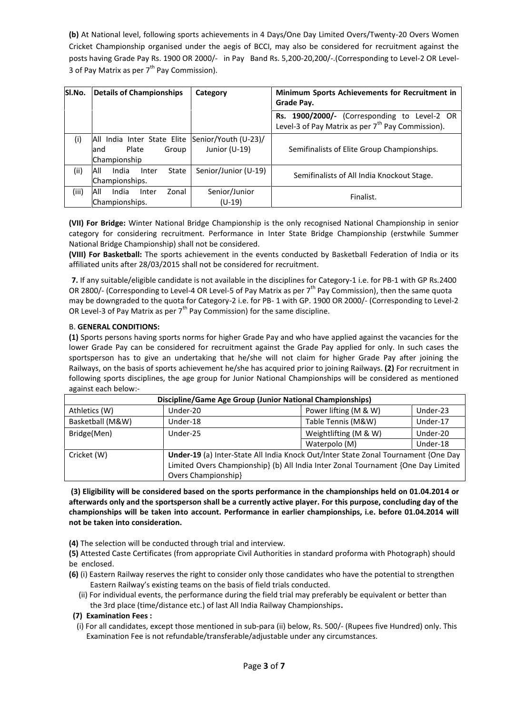**(b)** At National level, following sports achievements in 4 Days/One Day Limited Overs/Twenty-20 Overs Women Cricket Championship organised under the aegis of BCCI, may also be considered for recruitment against the posts having Grade Pay Rs. 1900 OR 2000/- in Pay Band Rs. 5,200-20,200/-.(Corresponding to Level-2 OR Level- 3 of Pay Matrix as per  $7<sup>th</sup>$  Pay Commission).

| SI.No. | <b>Details of Championships</b>                                                            | Category                | Minimum Sports Achievements for Recruitment in<br>Grade Pay.                                                  |  |  |
|--------|--------------------------------------------------------------------------------------------|-------------------------|---------------------------------------------------------------------------------------------------------------|--|--|
|        |                                                                                            |                         | Rs. 1900/2000/- (Corresponding to Level-2 OR<br>Level-3 of Pay Matrix as per 7 <sup>th</sup> Pay Commission). |  |  |
| (i)    | All India Inter State Elite Senior/Youth (U-23)/<br>Plate<br>Group<br>land<br>Championship | Junior (U-19)           | Semifinalists of Elite Group Championships.                                                                   |  |  |
| (i)    | All<br>India<br>State<br>Inter<br>Championships.                                           | Senior/Junior (U-19)    | Semifinalists of All India Knockout Stage.                                                                    |  |  |
| (iii)  | All<br>India<br>Zonal<br>Inter<br>Championships.                                           | Senior/Junior<br>(U-19) | Finalist.                                                                                                     |  |  |

**(VII) For Bridge:** Winter National Bridge Championship is the only recognised National Championship in senior category for considering recruitment. Performance in Inter State Bridge Championship (erstwhile Summer National Bridge Championship) shall not be considered.

**(VIII) For Basketball:** The sports achievement in the events conducted by Basketball Federation of India or its affiliated units after 28/03/2015 shall not be considered for recruitment.

**7.** If any suitable/eligible candidate is not available in the disciplines for Category-1 i.e. for PB-1 with GP Rs.2400 OR 2800/- (Corresponding to Level-4 OR Level-5 of Pay Matrix as per  $7^{th}$  Pay Commission), then the same quota may be downgraded to the quota for Category-2 i.e. for PB- 1 with GP. 1900 OR 2000/- (Corresponding to Level-2 OR Level-3 of Pay Matrix as per  $7<sup>th</sup>$  Pay Commission) for the same discipline.

# B. **GENERAL CONDITIONS:**

**(1)** Sports persons having sports norms for higher Grade Pay and who have applied against the vacancies for the lower Grade Pay can be considered for recruitment against the Grade Pay applied for only. In such cases the sportsperson has to give an undertaking that he/she will not claim for higher Grade Pay after joining the Railways, on the basis of sports achievement he/she has acquired prior to joining Railways. **(2)** For recruitment in following sports disciplines, the age group for Junior National Championships will be considered as mentioned against each below:-

| Discipline/Game Age Group (Junior National Championships) |                     |                                                                                                                                                                         |          |  |  |
|-----------------------------------------------------------|---------------------|-------------------------------------------------------------------------------------------------------------------------------------------------------------------------|----------|--|--|
| Athletics (W)                                             | Under-20            | Power lifting (M & W)                                                                                                                                                   | Under-23 |  |  |
| Basketball (M&W)                                          | Under-18            | Table Tennis (M&W)                                                                                                                                                      | Under-17 |  |  |
| Bridge(Men)                                               | Under-25            | Weightlifting (M & W)                                                                                                                                                   | Under-20 |  |  |
|                                                           |                     | Waterpolo (M)                                                                                                                                                           | Under-18 |  |  |
| Cricket (W)                                               | Overs Championship} | Under-19 (a) Inter-State All India Knock Out/Inter State Zonal Tournament {One Day<br>Limited Overs Championship} (b) All India Inter Zonal Tournament {One Day Limited |          |  |  |

 **(3) Eligibility will be considered based on the sports performance in the championships held on 01.04.2014 or afterwards only and the sportsperson shall be a currently active player. For this purpose, concluding day of the championships will be taken into account. Performance in earlier championships, i.e. before 01.04.2014 will not be taken into consideration.**

**(4)** The selection will be conducted through trial and interview.

**(5)** Attested Caste Certificates (from appropriate Civil Authorities in standard proforma with Photograph) should be enclosed.

- **(6)** (i) Eastern Railway reserves the right to consider only those candidates who have the potential to strengthen Eastern Railway's existing teams on the basis of field trials conducted.
	- (ii) For individual events, the performance during the field trial may preferably be equivalent or better than the 3rd place (time/distance etc.) of last All India Railway Championships**.**
- **(7) Examination Fees :**
- (i) For all candidates, except those mentioned in sub-para (ii) below, Rs. 500/- (Rupees five Hundred) only. This Examination Fee is not refundable/transferable/adjustable under any circumstances.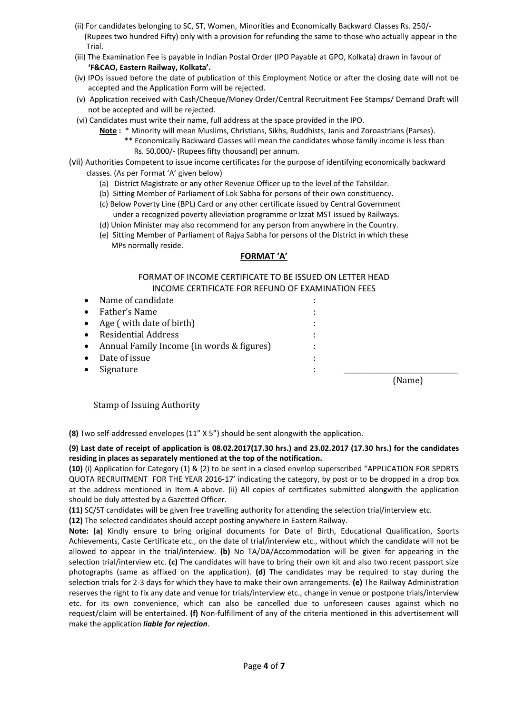- (ii) For candidates belonging to SC, ST, Women, Minorities and Economically Backward Classes Rs. 250/- (Rupees two hundred Fifty) only with a provision for refunding the same to those who actually appear in the Trial.
- (iii) The Examination Fee is payable in Indian Postal Order (IPO Payable at GPO, Kolkata) drawn in favour of **'F&CAO, Eastern Railway, Kolkata'.**
- (iv) IPOs issued before the date of publication of this Employment Notice or after the closing date will not be accepted and the Application Form will be rejected.
- (v) Application received with Cash/Cheque/Money Order/Central Recruitment Fee Stamps/ Demand Draft will not be accepted and will be rejected.
- (vi) Candidates must write their name, full address at the space provided in the IPO.
	- **Note :** \* Minority will mean Muslims, Christians, Sikhs, Buddhists, Janis and Zoroastrians (Parses).
		- \*\* Economically Backward Classes will mean the candidates whose family income is less than Rs. 50,000/- (Rupees fifty thousand) per annum.
- (vii) Authorities Competent to issue income certificates for the purpose of identifying economically backward classes. (As per Format 'A' given below)
	- (a) District Magistrate or any other Revenue Officer up to the level of the Tahsildar.
	- (b) Sitting Member of Parliament of Lok Sabha for persons of their own constituency.
	- (c) Below Poverty Line (BPL) Card or any other certificate issued by Central Government under a recognized poverty alleviation programme or Izzat MST issued by Railways.
	- (d) Union Minister may also recommend for any person from anywhere in the Country.
	- (e) Sitting Member of Parliament of Rajya Sabha for persons of the District in which these MPs normally reside.

## **FORMAT 'A'**

## FORMAT OF INCOME CERTIFICATE TO BE ISSUED ON LETTER HEAD INCOME CERTIFICATE FOR REFUND OF EXAMINATION FEES

| Name of candidate                         |   |        |
|-------------------------------------------|---|--------|
| Father's Name                             |   |        |
| Age (with date of birth)                  |   |        |
| <b>Residential Address</b>                |   |        |
| Annual Family Income (in words & figures) | ٠ |        |
| Date of issue                             |   |        |
| Signature                                 |   |        |
|                                           |   | `Name` |

Stamp of Issuing Authority

**(8)** Two self-addressed envelopes (11" X 5") should be sent alongwith the application.

## **(9) Last date of receipt of application is 08.02.2017(17.30 hrs.) and 23.02.2017 (17.30 hrs.) for the candidates residing in places as separately mentioned at the top of the notification.**

**(10)** (i) Application for Category (1) & (2) to be sent in a closed envelop superscribed "APPLICATION FOR SPORTS QUOTA RECRUITMENT FOR THE YEAR 2016-17' indicating the category, by post or to be dropped in a drop box at the address mentioned in Item-A above. (ii) All copies of certificates submitted alongwith the application should be duly attested by a Gazetted Officer.

**(11)** SC/ST candidates will be given free travelling authority for attending the selection trial/interview etc.

**(12)** The selected candidates should accept posting anywhere in Eastern Railway.

**Note: (a)** Kindly ensure to bring original documents for Date of Birth, Educational Qualification, Sports Achievements, Caste Certificate etc., on the date of trial/interview etc., without which the candidate will not be allowed to appear in the trial/interview. **(b)** No TA/DA/Accommodation will be given for appearing in the selection trial/interview etc. **(c)** The candidates will have to bring their own kit and also two recent passport size photographs (same as affixed on the application). **(d)** The candidates may be required to stay during the selection trials for 2-3 days for which they have to make their own arrangements. **(e)** The Railway Administration reserves the right to fix any date and venue for trials/interview etc., change in venue or postpone trials/interview etc. for its own convenience, which can also be cancelled due to unforeseen causes against which no request/claim will be entertained. **(f)** Non-fulfillment of any of the criteria mentioned in this advertisement will make the application *liable for rejection*.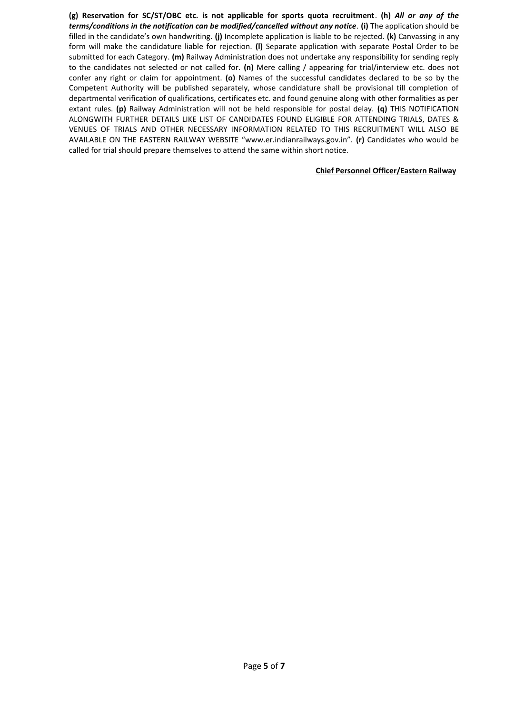**(g) Reservation for SC/ST/OBC etc. is not applicable for sports quota recruitment**. **(h)** *All or any of the terms/conditions in the notification can be modified/cancelled without any notice.* **(i)** The application should be filled in the candidate's own handwriting. **(j)** Incomplete application is liable to be rejected. **(k)** Canvassing in any form will make the candidature liable for rejection. **(l)** Separate application with separate Postal Order to be submitted for each Category. **(m)** Railway Administration does not undertake any responsibility for sending reply to the candidates not selected or not called for. **(n)** Mere calling / appearing for trial/interview etc. does not confer any right or claim for appointment. **(o)** Names of the successful candidates declared to be so by the Competent Authority will be published separately, whose candidature shall be provisional till completion of departmental verification of qualifications, certificates etc. and found genuine along with other formalities as per extant rules. **(p)** Railway Administration will not be held responsible for postal delay. **(q)** THIS NOTIFICATION ALONGWITH FURTHER DETAILS LIKE LIST OF CANDIDATES FOUND ELIGIBLE FOR ATTENDING TRIALS, DATES & VENUES OF TRIALS AND OTHER NECESSARY INFORMATION RELATED TO THIS RECRUITMENT WILL ALSO BE AVAILABLE ON THE EASTERN RAILWAY WEBSITE "www.er.indianrailways.gov.in". **(r)** Candidates who would be called for trial should prepare themselves to attend the same within short notice.

## **Chief Personnel Officer/Eastern Railway**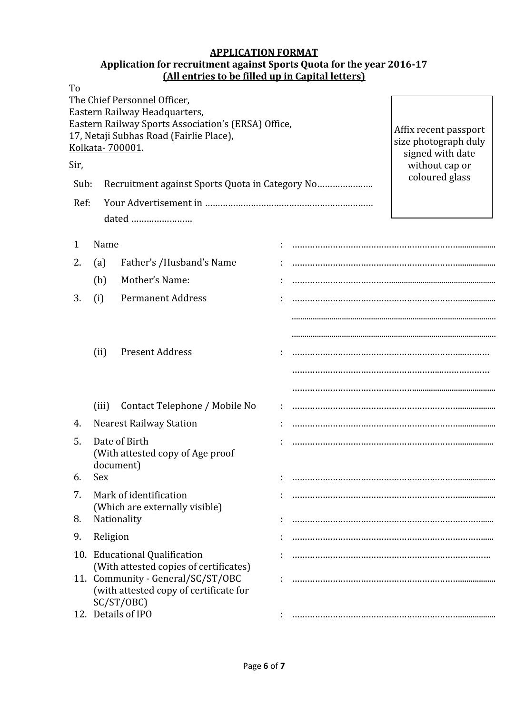# **APPLICATION FORMAT**

# **Application for recruitment against Sports Quota for the year 2016-17 (All entries to be filled up in Capital letters)**

| To   |          |                                                                                      |  |                                          |
|------|----------|--------------------------------------------------------------------------------------|--|------------------------------------------|
|      |          | The Chief Personnel Officer,                                                         |  |                                          |
|      |          | Eastern Railway Headquarters,<br>Eastern Railway Sports Association's (ERSA) Office, |  |                                          |
|      |          | 17, Netaji Subhas Road (Fairlie Place),                                              |  | Affix recent passport                    |
|      |          | Kolkata-700001.                                                                      |  | size photograph duly<br>signed with date |
| Sir, |          |                                                                                      |  | without cap or                           |
| Sub: |          |                                                                                      |  | coloured glass                           |
| Ref: |          |                                                                                      |  |                                          |
|      |          | dated                                                                                |  |                                          |
| 1    | Name     |                                                                                      |  |                                          |
|      |          |                                                                                      |  |                                          |
| 2.   | (a)      | Father's /Husband's Name                                                             |  |                                          |
|      | (b)      | Mother's Name:                                                                       |  |                                          |
| 3.   | (i)      | <b>Permanent Address</b>                                                             |  |                                          |
|      |          |                                                                                      |  |                                          |
|      |          |                                                                                      |  |                                          |
|      | (ii)     | <b>Present Address</b>                                                               |  |                                          |
|      |          |                                                                                      |  |                                          |
|      |          |                                                                                      |  |                                          |
|      |          |                                                                                      |  |                                          |
|      | (iii)    | Contact Telephone / Mobile No                                                        |  |                                          |
| 4.   |          | <b>Nearest Railway Station</b>                                                       |  |                                          |
| 5.   |          | Date of Birth                                                                        |  |                                          |
|      |          | (With attested copy of Age proof<br>document)                                        |  |                                          |
| 6.   | Sex      |                                                                                      |  |                                          |
| 7.   |          | Mark of identification                                                               |  |                                          |
|      |          | (Which are externally visible)                                                       |  |                                          |
| 8.   |          | Nationality                                                                          |  |                                          |
| 9.   | Religion |                                                                                      |  |                                          |
|      |          | 10. Educational Qualification                                                        |  |                                          |
|      |          | (With attested copies of certificates)                                               |  |                                          |
|      |          | 11. Community - General/SC/ST/OBC<br>(with attested copy of certificate for          |  |                                          |
|      |          | SC/ST/OBC)                                                                           |  |                                          |
|      |          | 12. Details of IPO                                                                   |  |                                          |
|      |          |                                                                                      |  |                                          |